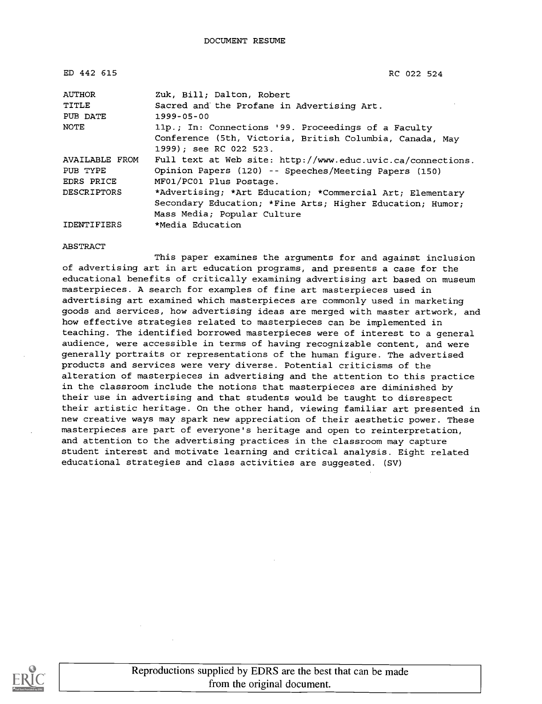| ED 442 615            | RC 022 524                                                  |
|-----------------------|-------------------------------------------------------------|
| AUTHOR                | Zuk, Bill; Dalton, Robert                                   |
| TITLE                 | Sacred and the Profane in Advertising Art.                  |
| PUB DATE              | $1999 - 05 - 00$                                            |
| NOTE                  | 11p.; In: Connections '99. Proceedings of a Faculty         |
|                       | Conference (5th, Victoria, British Columbia, Canada, May    |
|                       | 1999); see RC 022 523.                                      |
| <b>AVAILABLE FROM</b> | Full text at Web site: http://www.educ.uvic.ca/connections. |
| PUB TYPE              | Opinion Papers (120) -- Speeches/Meeting Papers (150)       |
| EDRS PRICE            | MF01/PC01 Plus Postage.                                     |
| <b>DESCRIPTORS</b>    | *Advertising; *Art Education; *Commercial Art; Elementary   |
|                       | Secondary Education; *Fine Arts; Higher Education; Humor;   |
|                       | Mass Media; Popular Culture                                 |
| IDENTIFIERS           | *Media Education                                            |

#### ABSTRACT

This paper examines the arguments for and against inclusion of advertising art in art education programs, and presents a case for the educational benefits of critically examining advertising art based on museum masterpieces. A search for examples of fine art masterpieces used in advertising art examined which masterpieces are commonly used in marketing goods and services, how advertising ideas are merged with master artwork, and how effective strategies related to masterpieces can be implemented in teaching. The identified borrowed masterpieces were of interest to a general audience, were accessible in terms of having recognizable content, and were generally portraits or representations of the human figure. The advertised products and services were very diverse. Potential criticisms of the alteration of masterpieces in advertising and the attention to this practice in the classroom include the notions that masterpieces are diminished by their use in advertising and that students would be taught to disrespect their artistic heritage. On the other hand, viewing familiar art presented in new creative ways may spark new appreciation of their aesthetic power. These masterpieces are part of everyone's heritage and open to reinterpretation, and attention to the advertising practices in the classroom may capture student interest and motivate learning and critical analysis. Eight related educational strategies and class activities are suggested. (SV)

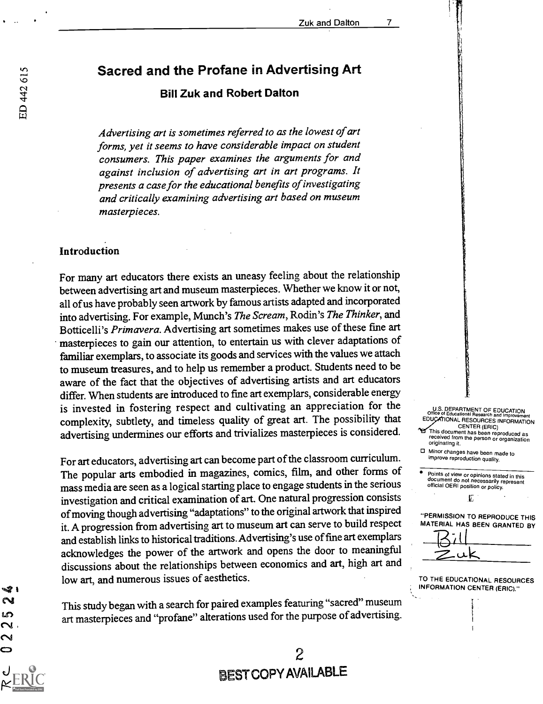# Sacred and the Profane in Advertising Art

### Bill Zuk and Robert Dalton

Advertising art is sometimes referred to as the lowest of art forms, yet it seems to have considerable impact on student consumers. This paper examines the arguments for and against inclusion of advertising art in art programs. It presents a case for the educational benefits of investigating and critically examining advertising art based on museum masterpieces.

#### Introduction

For many art educators there exists an uneasy feeling about the relationship between advertising art and museum masterpieces. Whether we know it or not, all of us have probably seen artwork by famous artists adapted and incorporated into advertising. For example, Munch's The Scream, Rodin's The Thinker, and Botticelli's Primavera. Advertising art sometimes makes use of these fine art masterpieces to gain our attention, to entertain us with clever adaptations of familiar exemplars, to associate its goods and services with the values weattach to museum treasures, and to help us remember a product. Students need to be aware of the fact that the objectives of advertising artists and art educators differ. When students are introduced to fine art exemplars, considerable energy is invested in fostering respect and cultivating an appreciation for the complexity, subtlety, and timeless quality of great art. The possibility that advertising undermines our efforts and trivializes masterpieces is considered.

For art educators, advertising art can become part of the classroom curriculum. The popular arts embodied in magazines, comics, film, and other forms of mass media are seen as a logical starting place to engage students in the serious investigation and critical examination of art. One natural progression consists of moving though advertising "adaptations" to the original artwork that inspired it. A progression from advertising art to museum art can serve to build respect and establish links to historical traditions.Advertising's use of fine art exemplars acknowledges the power of the artwork and opens the door to meaningful discussions about the relationships between economics and art, high art and low art, and numerous issues of aesthetics.

This study began with a search for paired examples featuring "sacred" museum art masterpieces and "profane" alterations used for the purpose of advertising.

2

BEST COPYAVAILABLE

### U.S. DEPARTMENT OF EDUCATION Office of Educational Research and Improvement EDUCATIONAL RESOURCES INFORMATION<br>CENTER (ERIC)

- CENTER (ERIC) This document has been reproduced as received from the person or organization originating it.
- O Minor changes have been made to improve reproduction quality.

Points of view or opinions stated in this document do not necessarily represent official OERI position or policy.

£

"PERMISSION TO REPRODUCE THIS MATERIAL HAS BEEN GRANTED BY



TO THE EDUCATIONAL RESOURCES INFORMATION CENTER (ERIC)."

- 12  $\boldsymbol{\sim}$ ശ  $\sim$  $\sim$ 0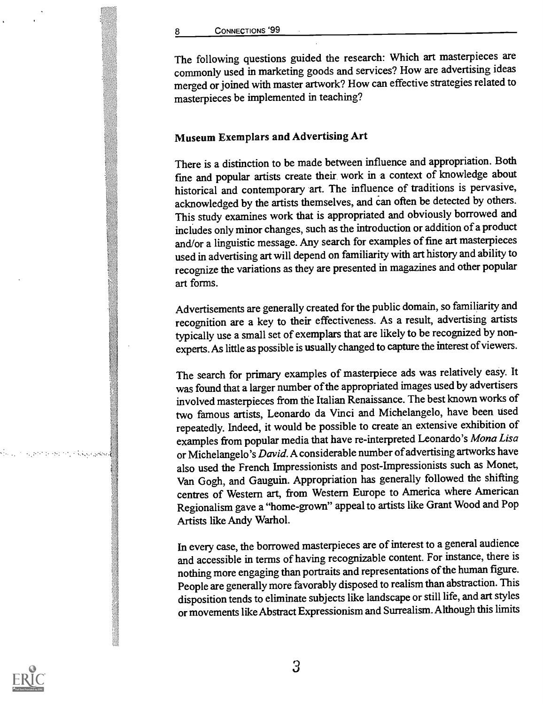8 CONNECTIONS '99

The following questions guided the research: Which art masterpieces are commonly used in marketing goods and services? How are advertising ideas merged or joined with master artwork? How can effective strategies related to masterpieces be implemented in teaching?

### Museum Exemplars and Advertising Art

There is a distinction to be made between influence and appropriation. Both fine and popular artists create their work in a context of knowledge about historical and contemporary art. The influence of traditions is pervasive, acknowledged by the artists themselves, and can often be detected by others. This study examines work that is appropriated and obviously borrowed and includes only minor changes, such as the introduction or addition of a product and/or a linguistic message. Any search for examples of fine art masterpieces used in advertising art will depend on familiarity with art history and ability to recognize the variations as they are presented in magazines and other popular art forms.

Advertisements are generally created for the public domain, so familiarity and recognition are a key to their effectiveness. As a result, advertising artists typically use a small set of exemplars that are likely to be recognized by nonexperts. As little as possible is usually changed to capture the interest of viewers.

The search for primary examples of masterpiece ads was relatively easy. It was found that a larger number of the appropriated images used by advertisers involved masterpieces from the Italian Renaissance. The best known works of two famous artists, Leonardo da Vinci and Michelangelo, have been used repeatedly. Indeed, it would be possible to create an extensive exhibition of examples from popular media that have re-interpreted Leonardo's Mona Lisa or Michelangelo's David. A considerable number of advertising artworks have also used the French Impressionists and post-Impressionists such as Monet, Van Gogh, and Gauguin. Appropriation has generally followed the shifting centres of Western art, from Western Europe to America where American Regionalism gave a "home-grown" appeal to artists like Grant Wood and Pop Artists like Andy Warhol.

In every case, the borrowed masterpieces are of interest to a general audience and accessible in terms of having recognizable content. For instance, there is nothing more engaging than portraits and representations of the human figure. People are generally more favorably disposed to realism than abstraction. This disposition tends to eliminate subjects like landscape or still life, and art styles or movements like Abstract Expressionism and Surrealism. Although this limits



isi sa mana f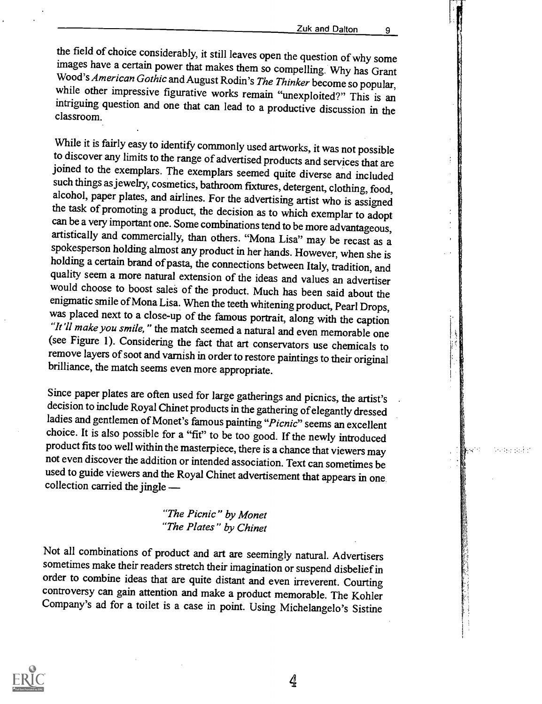an serial r

the field of choice considerably, it still leaves open the question of why some images have a certain power that makes them so compelling. Why has Grant Wood's *American Gothic* and August Rodin's *The Thinker* become so p

While it is fairly easy to identify commonly used artworks, it was not possible to discover any limits to the range of advertised products and services that are joined to the exemplars. The exemplars seemed quite diverse and included<br>such things as jewelry, cosmetics, bathroom fixtures, detergent, clothing, food,<br>alcohol, paper plates, and airlines. For the advertising artist who holding a certain brand of pasta, the connections between Italy, tradition, and<br>quality seem a more natural extension of the ideas and values an advertiser would choose to boost sales of the product. Much has been said about the enigmatic smile of Mona Lisa. When the teeth whitening product, Pearl Drops, was placed next to a close-up of the famous portrait, along with the caption "It'll make you smile," the match seemed a natural and even memorable one (see Figure 1). Considering the fact that art conservators use chemicals to remove layers of soot and varnish in order to restore paintings to their original brilliance, the match seems even more appropriate.

Since paper plates are often used for large gatherings and picnics, the artist's decision to include Royal Chinet products in the gathering of elegantly dressed ladies and gentlemen of Monet's famous painting "Picnic" seems an excellent choice. It is also possible for a "fit" to be too good. If the newly introduced product fits too well within the masterpiece, there is a chance that viewers may not even discover the addition or intended association. Text can sometimes be used to guide viewers and the Royal Chinet advertisement that appears in one collection carried the jingle

> "The Picnic" by Monet "The Plates" by Chinet

Not all combinations of product and art are seemingly natural. Advertisers sometimes make their readers stretch their imagination or suspend disbelief in order to combine ideas that are quite distant and even irreverent. Courting controversy can gain attention and make a product memorable. The Kohler Company's ad for a toilet is a case in point. Using Michelangelo's Sistine



4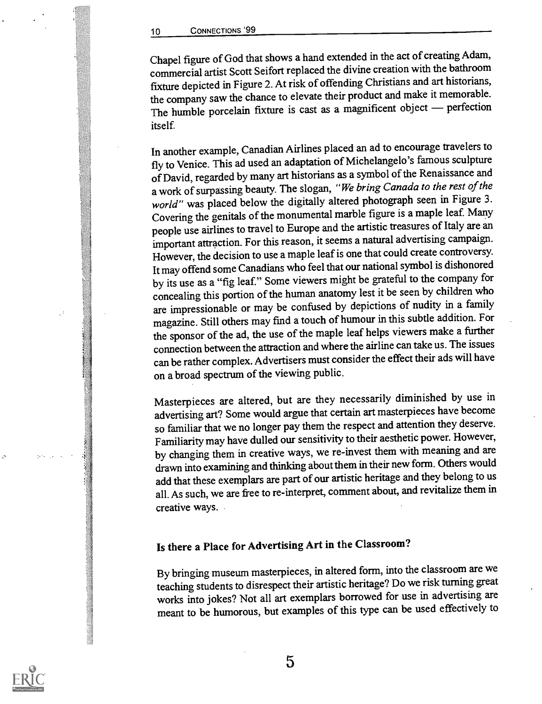Chapel figure of God that shows a hand extended in the act of creating Adam, commercial artist Scott Seifortreplaced the divine creation with the bathroom fixture depicted in Figure 2. Atrisk of offending Christians and art historians, the company saw the chance to elevate their product and make it memorable. The humble porcelain fixture is cast as a magnificent object - perfection itself.

In another example, CanadianAirlines placed an ad to encourage travelers to fly to Venice. This ad used an adaptation of Michelangelo's famous sculpture of David, regarded by many art historians as a symbol of the Renaissance and a work of surpassing beauty. The slogan, "We bring Canada to the rest of the world" was placed below the digitally altered photograph seen in Figure 3. Covering the genitals of the monumental marble figure is a maple leaf. Many people use airlines to travel to Europe and the artistic treasures of Italy are an important attraction. For this reason, it seems a natural advertising campaign. However, the decision to use a maple leaf is one that could create controversy. It may offend some Canadians who feel that our national symbol is dishonored by its use as a "fig leaf." Some viewers might be grateful to the company for concealing this portion of the human anatomy lest it be seen by children who are impressionable or may be confused by depictions of nudity in a family magazine. Still others may find a touch of humour in this subtle addition. For the sponsor of the ad, the use of the maple leaf helps viewers make a further connection between the attraction and where the airline can take us. The issues can be rather complex. Advertisers must consider the effect their ads will have on a broad spectrum of the viewing public.

Masterpieces are altered, but are they necessarily diminished by use in advertising art? Some would argue that certain art masterpieces have become so familiar that we no longer pay them the respect and attention they deserve. Familiarity may have dulled our sensitivity to their aesthetic power. However, by changing them in creative ways, we re-invest them with meaning and are drawn into examining and thinking aboutthem in their new form. Others would add that these exemplars are part of our artistic heritage and they belong to us all. As such, we are free to re-interpret, comment about, and revitalize them in creative ways.

# Is there a Place for Advertising Art in the Classroom?

By bringing museum masterpieces, in altered form, into the classroom are we teaching students to disrespect their artistic heritage? Do we risk turning great works into jokes? Not all art exemplars borrowed for use in advertising are meant to be humorous, but examples of this type can be used effectively to

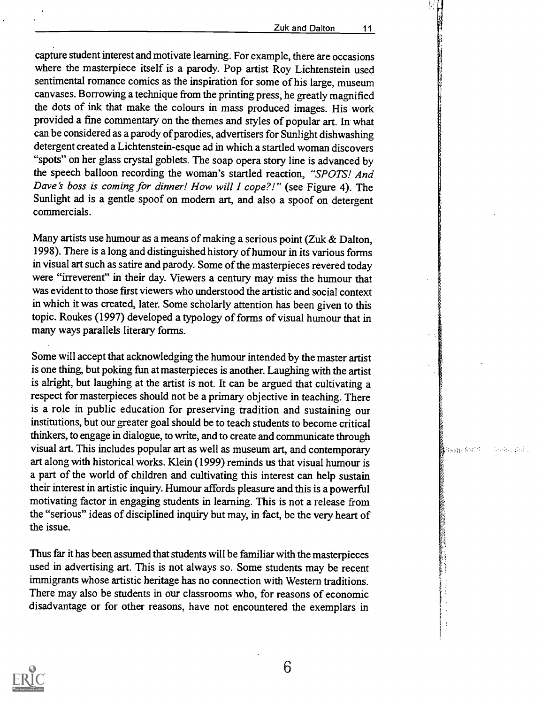capture student interest and motivate learning. For example, there are occasions where the masterpiece itself is a parody. Pop artist Roy Lichtenstein used sentimental romance comics as the inspiration for some of his large, museum canvases. Borrowing a technique from the printing press, he greatly magnified the dots of ink that make the colours in mass produced images. His work provided a fine commentary on the themes and styles of popular art. In what can be considered as a parody of parodies, advertisers for Sunlight dishwashing detergent created a Lichtenstein-esque ad in which a startled woman discovers "spots" on her glass crystal goblets. The soap opera story line is advanced by the speech balloon recording the woman's startled reaction, "SPOTS! And Dave's boss is coming for dinner! How will I cope?!" (see Figure 4). The Sunlight ad is a gentle spoof on modern art, and also a spoof on detergent commercials.

Many artists use humour as a means of making a serious point (Zuk & Dalton, 1998). There is a long and distinguished history of humour in its various forms in visual art such as satire and parody. Some of the masterpieces revered today were "irreverent" in their day. Viewers a century may miss the humour that was evident to those first viewers who understood the artistic and social context in which it was created, later. Some scholarly attention has been given to this topic. Roukes (1997) developed a typology of forms of visual humour that in many ways parallels literary forms.

Some will accept that acknowledging the humour intended by the master artist is one thing, but poking fun at masterpieces is another. Laughing with the artist is alright, but laughing at the artist is not. It can be argued that cultivating a respect for masterpieces should not be a primary objective in teaching. There is a role in public education for preserving tradition and sustaining our institutions, but our greater goal should be to teach students to become critical thinkers, to engage in dialogue, to write, and to create and communicate through visual art. This includes popular art as well as museum art, and contemporary art along with historical works. Klein (1999) reminds us that visual humour is a part of the world of children and cultivating this interest can help sustain their interest in artistic inquiry. Humour affords pleasure and this is a powerful motivating factor in engaging students in learning. This is not a release from the "serious" ideas of disciplined inquiry but may, in fact, be the very heart of the issue.

Thus far it has been assumed that students will be familiar with the masterpieces used in advertising art. This is not always so. Some students may be recent immigrants whose artistic heritage has no connection with Western traditions. There may also be students in our classrooms who, for reasons of economic disadvantage or for other reasons, have not encountered the exemplars in



6

**R**ansas (1967)

**Service Profit**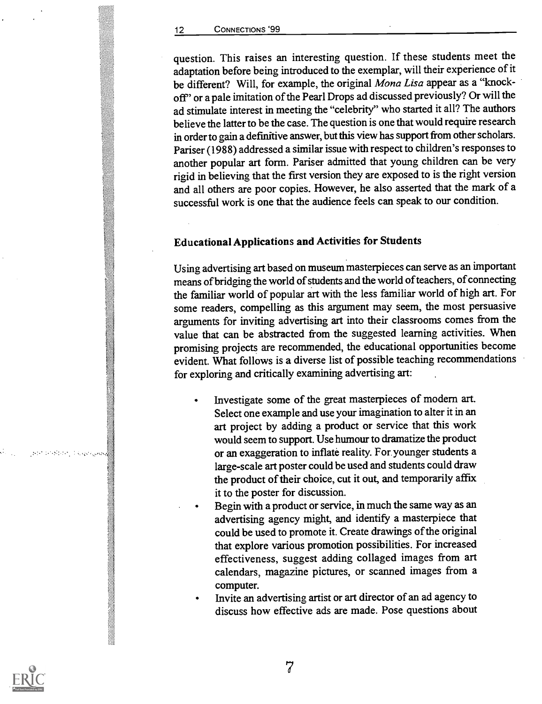question. This raises an interesting question. If these students meet the adaptation before being introduced to the exemplar, will their experience of it be different? Will, for example, the original Mona Lisa appear as a "knockoff' or a pale imitation of the Pearl Drops ad discussed previously? Or will the ad stimulate interest in meeting the "celebrity" who started it all? The authors believe the latter to be the case. The question is one that would require research in order to gain a definitive answer, but this view has support from other scholars. Pariser (1988) addressed a similar issue with respect to children's responses to another popular art form. Pariser admitted that young children can be very rigid in believing that the first version they are exposed to is the right version and all others are poor copies. However, he also asserted that the mark of a successful work is one that the audience feels can speak to our condition.

## Educational Applications and Activities for Students

Using advertising art based on museum masterpieces can serve as an important means of bridging the world of students and the world of teachers, of connecting the familiar world of popular art with the less familiar world of high art. For some readers, compelling as this argument may seem, the most persuasive arguments for inviting advertising art into their classrooms comes from the value that can be abstracted from the suggested learning activities. When promising projects are recommended, the educational opportunities become evident. What follows is a diverse list of possible teaching recommendations for exploring and critically examining advertising art:

- Investigate some of the great masterpieces of modern art. Select one example and use your imagination to alter it in an art project by adding a product or service that this work would seem to support. Use humour to dramatize the product or an exaggeration to inflate reality. For younger students a large-scale art poster could be used and students could draw the product of their choice, cut it out, and temporarily affix it to the poster for discussion.
- Begin with a product or service, in much the same way as an advertising agency might, and identify a masterpiece that could be used to promote it. Create drawings of the original that explore various promotion possibilities. For increased effectiveness, suggest adding collaged images from art calendars, magazine pictures, or scanned images from a computer.
- Invite an advertising artist or art director of an ad agency to discuss how effective ads are made. Pose questions about

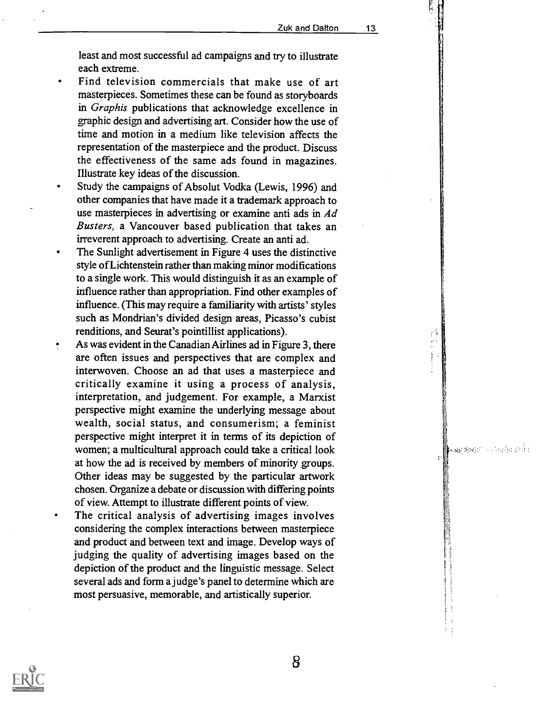序  $\frac{1}{2}$ 

အမှုအများ ၁၁၁ ရက်တော်ပါ

least and most successful ad campaigns and try to illustrate each extreme.

- Find television commercials that make use of art masterpieces. Sometimes these can be found as storyboards in Graphis publications that acknowledge excellence in graphic design and advertising art. Consider how the use of time and motion in a medium like television affects the representation of the masterpiece and the product. Discuss the effectiveness of the same ads found in magazines. Illustrate key ideas of the discussion.
- Study the campaigns of Absolut Vodka (Lewis, 1996) and other companies that have made it a trademark approach to use masterpieces in advertising or examine anti ads in Ad Busters, a Vancouver based publication that takes an irreverent approach to advertising. Create an anti ad.
- The Sunlight advertisement in Figure 4 uses the distinctive style of Lichtenstein rather than making minor modifications to a single work. This would distinguish it as an example of influence rather than appropriation. Find other examples of influence. (This may require a familiarity with artists' styles such as Mondrian's divided design areas, Picasso's cubist renditions, and Seurat's pointillist applications).
- As was evident in the CanadianAirlines ad in Figure 3, there are often issues and perspectives that are complex and interwoven. Choose an ad that uses a masterpiece and critically examine it using a process of analysis, interpretation, and judgement. For example, a Marxist perspective might examine the underlying message about wealth, social status, and consumerism; a feminist perspective might interpret it in terms of its depiction of women; a multicultural approach could take a critical look at how the ad is received by members of minority groups. Other ideas may be suggested by the particular artwork chosen. Organize a debate or discussion with differing points of view. Attempt to illustrate different points of view.
- The critical analysis of advertising images involves considering the complex interactions between masterpiece and product and between text and image. Develop ways of judging the quality of advertising images based on the depiction of the product and the linguistic message. Select several ads and form a judge's panel to determine which are most persuasive, memorable, and artistically superior.



8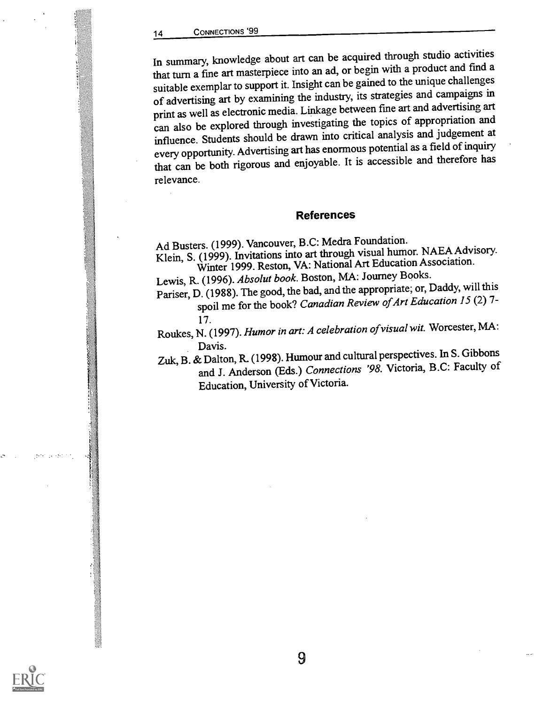In summary, knowledge about art can be acquired through studio activities that turn a fine art masterpiece into an ad, or begin with a product and find a suitable exemplar to support it. Insight can be gained to the unique challenges of advertising art by examining the industry, its strategies and campaigns in print as well as electronic media. Linkage between fine art and advertising art can also be explored through investigating the topics of appropriation and influence. Students should be drawn into critical analysis and judgement at every opportunity. Advertising art has enormous potential as a field of inquiry that can be both rigorous and enjoyable. It is accessible and therefore has relevance.

#### References

Ad Busters. (1999). Vancouver, B.C: Medra Foundation.

Klein, S. (1999). Invitations into art through visual humor. NAEA Advisory. Winter 1999. Reston, VA: National Art Education Association.

Lewis, R. (1996). Absolut book. Boston, MA: Journey Books.

Pariser, D. (1988). The good, the bad, and the appropriate; or, Daddy, will this spoil me for the book? Canadian Review of Art Education 15 (2) 7-

17. Roukes, N. (1997). Humor in art: A celebration ofvisual wit. Worcester, MA:

Davis.<br>Zuk, B. & Dalton, R. (1998). Humour and cultural perspectives. In S. Gibbons and J. Anderson (Eds.) Connections '98. Victoria, B.C: Faculty of Education, University of Victoria.

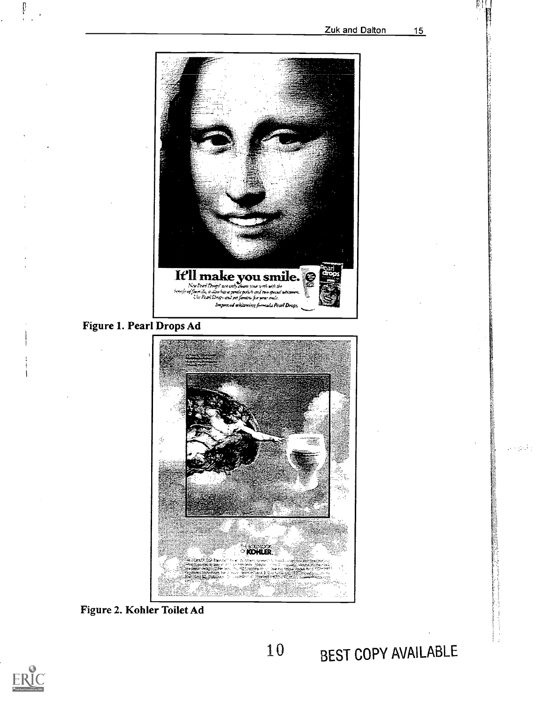$\mathcal{L} \in \mathcal{L}^1(\mathbb{R}^d)$ 



Figure 1. Pearl Drops Ad



Figure 2. Kohler Toilet Ad

 $\begin{array}{c} \prod\limits_{i=1}^{n} \end{array}$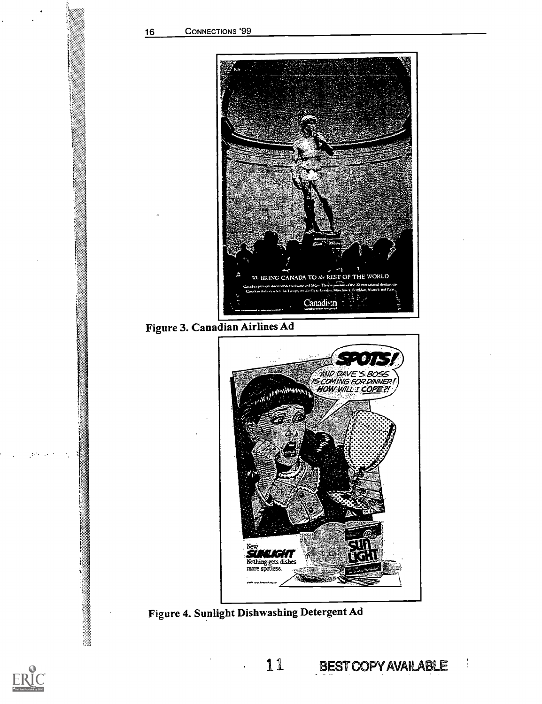

Figure 3. Canadian Airlines Ad



Figure 4. Sunlight Dishwashing Detergent Ad

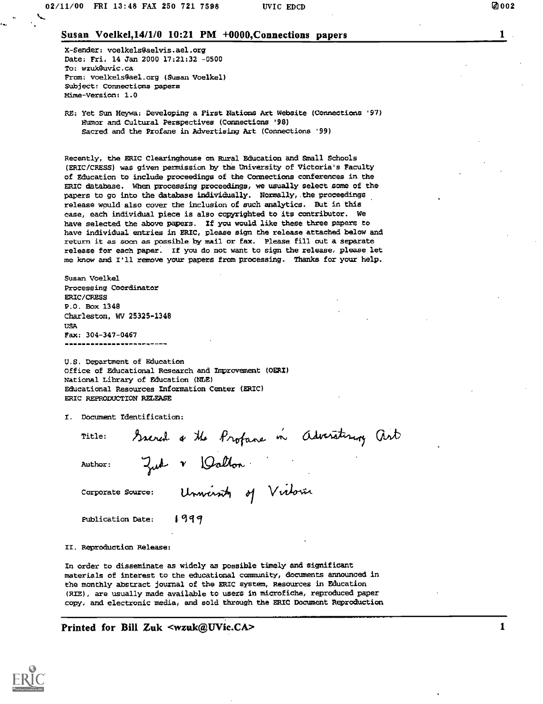X-Sender: voelkels@aelvis.ael.org Date: Fri, 14 Jan 2000 17:21:32 -0500 To: wzuk8uvic.ca From: voelkels@ael.org (Susan Voelkel) Subject: Connections papers mime-version: 1.0

RE: Yet Sun Heywa: Developing a First Nations Art Webeite (Connections '97) Humor and Cultural Perspectives (Connections '98) Sacred and the Profane in Advertising Art (Connections '99)

Recently, the ERIC Clearinghouse on Rural Education and Small Schools (ERIC/CRESS) was given permission by the University of Victoria's Faculty of Education to include proceedings of the Connections conferences in the ERIC database. When processing proceedings, we usually select some of the papers to go into the database individually. Normally, the proceedings release would also cover the inclusion of such analytics. But in this case, each individual piece is also copyrighted to its contributor. We have selected the above papers. If you would like these three papers to have individual entries in ERIC, please sign the release attached below and return it as soon as possible by mail or fax. Please fill out a separate release for each paper. If you do not want to sign the release, please let me know and I'll remove your papers from processing. Thanks for your help.

Susan Voelkel Processing Coordinator ERIC/CRESS P.O. Box 1348 Charleston, WV 25325-1348 USA Fax: 304-347-0467 ------------------------

U.S. Department of Education office of Educational Research and improvement (OERI) National Library of Education (NLE) Educational Resources Information Center (ERIC) ERIC REPRODUCTION RELEASE

X. Document Identification:

Title: Ssered a the Profane in Adversiting art Author: Zud V Walton

Corporate Source: Unwinity of Virtoria

Publication Date:  $1999$ 

II. Reproduction Release:

In order to disseminate as widely as possible timely and significant materials of interest to the educational community, documents announced in the monthly abstract journal of the ERIC system, Resources in Education (R1E), are usually made available to users in microfiche, reproduced paper copy, and electronic media, and sold through the ERIC Document Reproduction

Printed for Bill Zuk <wzuk@UVic.CA> 1

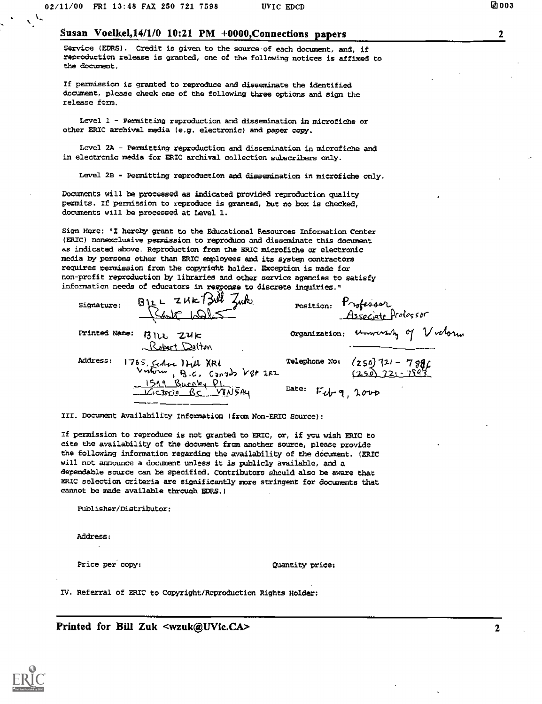$\mathcal{L}$ 

 $\mathbf{2}$ 

#### Susan Voelkel,14/1/0 10:21 PM +0000,Connections papers

Service (ERRS). Credit is given to the source'of each document, and, if reproduction release is granted, one of the following notices is affixed to the document.

If permission is granted to reproduce and disseminate the identified document, please check one of the following three options and sign the release form.

Level 1 - Permitting reproduction and dissemination in microfiche or other ERIC archival media (e.g. electronic) and paper copy.

Level 2A - Permitting reproduction and dissemination in microfiche and in electronic media for ERIC archival collection subscribers only.

Level 2B - Permitting reproduction and dissemination in microfiche only.

Documents will be processed as indicated provided reproduction quality permits. If permission to reproduce is granted, but no box is checked, documents will be processed at Level 1.

Sign Here: 'I hereby grant to the Educational Resources Information Center (ERIC) nonexclusive permission to reproduce and disseminate this document as indicated above. Reproduction from the ERIC microfiche or electronic media by persons other than ERIC employees and its system contractors requires permission from the copyright holder. Exception is made for non-profit reproduction by libraries and other service agencies to satisfy information needs of educators in response to discrete inquiries."

| $B12L$ zuk $T3$ ul zuk<br>Signature:                                    | position: Professor<br>Asseciate Professor               |
|-------------------------------------------------------------------------|----------------------------------------------------------|
| Printed Name:<br>$B$ lle Zuk<br>Raport Delton                           | organization: unwersity of Victoria                      |
| <b>Address:</b><br>1765, Centre 1441 XRI<br>Vutono, B.C. Canado V88 2RZ | Telephone No: $(250)$ $(21 - 79)$<br>$(250)$ $721 - 759$ |
| 1519 Burnley DI.<br>Wictoria BC V8N5Ay                                  | Date: Feb-9, 2000                                        |

III. Document Availability Information (from Non-ERIC Source):

If permission to reproduce is not granted to ERIC, or, if you wish ERIC to cite the availability of the document from another source, please provide the following information regarding the availability of the document. (ERIC will not announce a document unless it is publicly available, and a dependable source can be specified. Contributors should also be aware that ERIC selection criteria are significantly more stringent for documents that cannot be made available through EDRS.)

Publisher/Distributor:

Address:

Price per copy: Quantity price;

IV. Referral of ERIC to Copyright/Reproduction Rights Holder:

Printed for Bill Zuk <wzuk@UVic.CA> 2